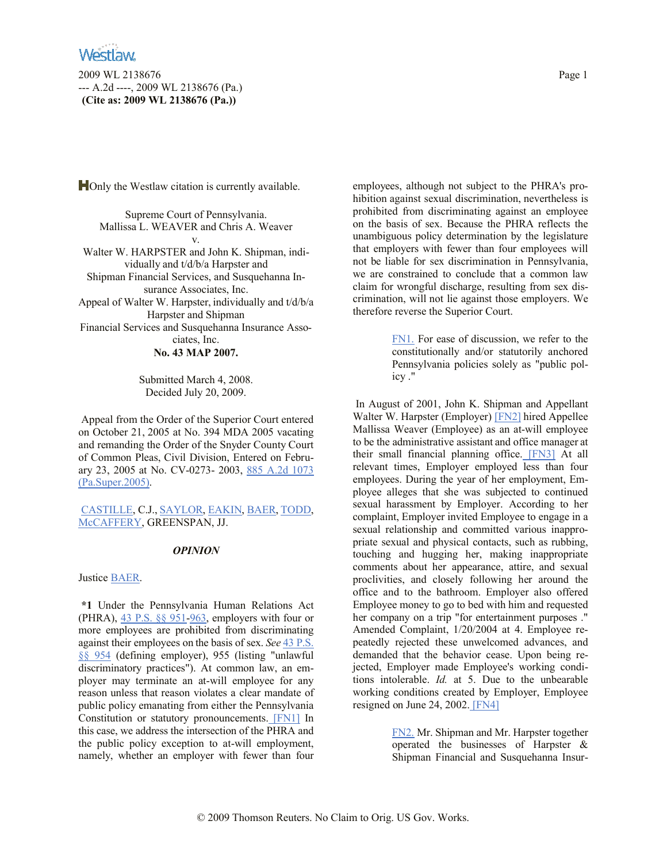2009 WL 2138676 Page 1 --- A.2d ----, 2009 WL 2138676 (Pa.) **(Cite as: 2009 WL 2138676 (Pa.))**

**H**Only the Westlaw citation is currently available.

Supreme Court of Pennsylvania. Mallissa L. WEAVER and Chris A. Weaver v. Walter W. HARPSTER and John K. Shipman, individually and t/d/b/a Harpster and Shipman Financial Services, and Susquehanna Insurance Associates, Inc. Appeal of Walter W. Harpster, individually and t/d/b/a Harpster and Shipman Financial Services and Susquehanna Insurance Associates, Inc. **No. 43 MAP 2007.**

> Submitted March 4, 2008. Decided July 20, 2009.

Appeal from the Order of the Superior Court entered on October 21, 2005 at No. 394 MDA 2005 vacating and remanding the Order of the Snyder County Court of Common Pleas, Civil Division, Entered on February 23, 2005 at No. CV-0273- 2003, 885 A.2d 1073 (Pa.Super.2005).

CASTILLE, C.J., SAYLOR, EAKIN, BAER, TODD, McCAFFERY, GREENSPAN, JJ.

# *OPINION*

Justice BAER.

**\*1** Under the Pennsylvania Human Relations Act (PHRA), 43 P.S. §§ 951-963, employers with four or more employees are prohibited from discriminating against their employees on the basis of sex. *See* 43 P.S. §§ 954 (defining employer), 955 (listing "unlawful discriminatory practices"). At common law, an employer may terminate an at-will employee for any reason unless that reason violates a clear mandate of public policy emanating from either the Pennsylvania Constitution or statutory pronouncements. [FN1] In this case, we address the intersection of the PHRA and the public policy exception to at-will employment, namely, whether an employer with fewer than four

employees, although not subject to the PHRA's prohibition against sexual discrimination, nevertheless is prohibited from discriminating against an employee on the basis of sex. Because the PHRA reflects the unambiguous policy determination by the legislature that employers with fewer than four employees will not be liable for sex discrimination in Pennsylvania, we are constrained to conclude that a common law claim for wrongful discharge, resulting from sex discrimination, will not lie against those employers. We therefore reverse the Superior Court.

> FN1. For ease of discussion, we refer to the constitutionally and/or statutorily anchored Pennsylvania policies solely as "public policy ."

In August of 2001, John K. Shipman and Appellant Walter W. Harpster (Employer) [FN2] hired Appellee Mallissa Weaver (Employee) as an at-will employee to be the administrative assistant and office manager at their small financial planning office. [FN3] At all relevant times, Employer employed less than four employees. During the year of her employment, Employee alleges that she was subjected to continued sexual harassment by Employer. According to her complaint, Employer invited Employee to engage in a sexual relationship and committed various inappropriate sexual and physical contacts, such as rubbing, touching and hugging her, making inappropriate comments about her appearance, attire, and sexual proclivities, and closely following her around the office and to the bathroom. Employer also offered Employee money to go to bed with him and requested her company on a trip "for entertainment purposes ." Amended Complaint, 1/20/2004 at 4. Employee repeatedly rejected these unwelcomed advances, and demanded that the behavior cease. Upon being rejected, Employer made Employee's working conditions intolerable. *Id.* at 5. Due to the unbearable working conditions created by Employer, Employee resigned on June 24, 2002. [FN4]

> FN2. Mr. Shipman and Mr. Harpster together operated the businesses of Harpster & Shipman Financial and Susquehanna Insur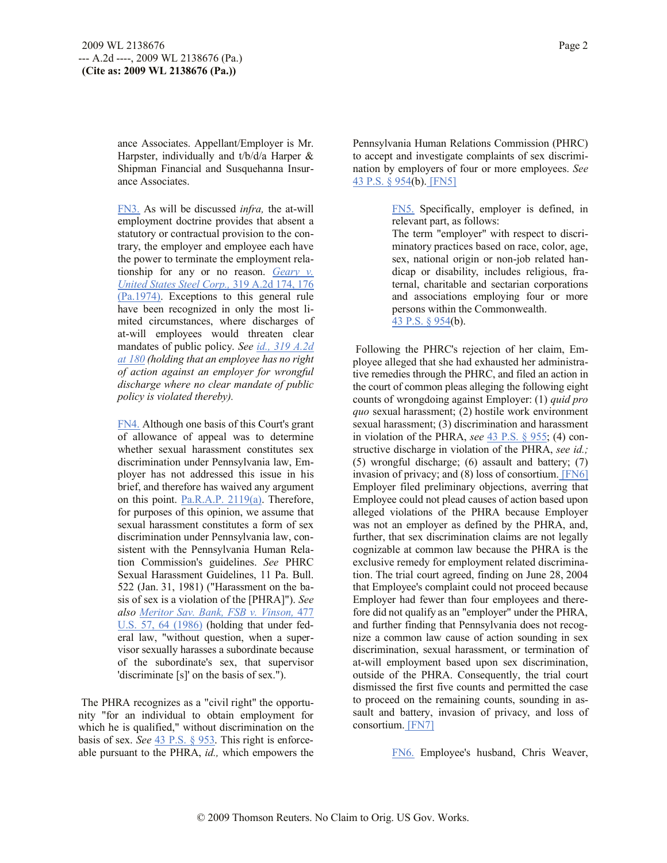ance Associates. Appellant/Employer is Mr. Harpster, individually and t/b/d/a Harper & Shipman Financial and Susquehanna Insurance Associates.

FN3. As will be discussed *infra,* the at-will employment doctrine provides that absent a statutory or contractual provision to the contrary, the employer and employee each have the power to terminate the employment relationship for any or no reason. *Geary v. United States Steel Corp.,* 319 A.2d 174, 176 (Pa.1974). Exceptions to this general rule have been recognized in only the most limited circumstances, where discharges of at-will employees would threaten clear mandates of public policy. *See id., 319 A.2d at 180 (holding that an employee has no right of action against an employer for wrongful discharge where no clear mandate of public policy is violated thereby).*

FN4. Although one basis of this Court's grant of allowance of appeal was to determine whether sexual harassment constitutes sex discrimination under Pennsylvania law, Employer has not addressed this issue in his brief, and therefore has waived any argument on this point. Pa.R.A.P. 2119(a). Therefore, for purposes of this opinion, we assume that sexual harassment constitutes a form of sex discrimination under Pennsylvania law, consistent with the Pennsylvania Human Relation Commission's guidelines. *See* PHRC Sexual Harassment Guidelines, 11 Pa. Bull. 522 (Jan. 31, 1981) ("Harassment on the basis of sex is a violation of the [PHRA]"). *See also Meritor Sav. Bank, FSB v. Vinson,* 477 U.S. 57, 64 (1986) (holding that under federal law, "without question, when a supervisor sexually harasses a subordinate because of the subordinate's sex, that supervisor 'discriminate [s]' on the basis of sex.").

The PHRA recognizes as a "civil right" the opportunity "for an individual to obtain employment for which he is qualified," without discrimination on the basis of sex. *See* 43 P.S. § 953. This right is enforceable pursuant to the PHRA, *id.,* which empowers the Pennsylvania Human Relations Commission (PHRC) to accept and investigate complaints of sex discrimination by employers of four or more employees. *See* 43 P.S. § 954(b). [FN5]

> FN5. Specifically, employer is defined, in relevant part, as follows:

> The term "employer" with respect to discriminatory practices based on race, color, age, sex, national origin or non-job related handicap or disability, includes religious, fraternal, charitable and sectarian corporations and associations employing four or more persons within the Commonwealth.

43 P.S. § 954(b).

Following the PHRC's rejection of her claim, Employee alleged that she had exhausted her administrative remedies through the PHRC, and filed an action in the court of common pleas alleging the following eight counts of wrongdoing against Employer: (1) *quid pro quo* sexual harassment; (2) hostile work environment sexual harassment; (3) discrimination and harassment in violation of the PHRA, *see* 43 P.S. § 955; (4) constructive discharge in violation of the PHRA, *see id.;* (5) wrongful discharge; (6) assault and battery; (7) invasion of privacy; and (8) loss of consortium. [FN6] Employer filed preliminary objections, averring that Employee could not plead causes of action based upon alleged violations of the PHRA because Employer was not an employer as defined by the PHRA, and, further, that sex discrimination claims are not legally cognizable at common law because the PHRA is the exclusive remedy for employment related discrimination. The trial court agreed, finding on June 28, 2004 that Employee's complaint could not proceed because Employer had fewer than four employees and therefore did not qualify as an "employer" under the PHRA, and further finding that Pennsylvania does not recognize a common law cause of action sounding in sex discrimination, sexual harassment, or termination of at-will employment based upon sex discrimination, outside of the PHRA. Consequently, the trial court dismissed the first five counts and permitted the case to proceed on the remaining counts, sounding in assault and battery, invasion of privacy, and loss of consortium. [FN7]

FN6. Employee's husband, Chris Weaver,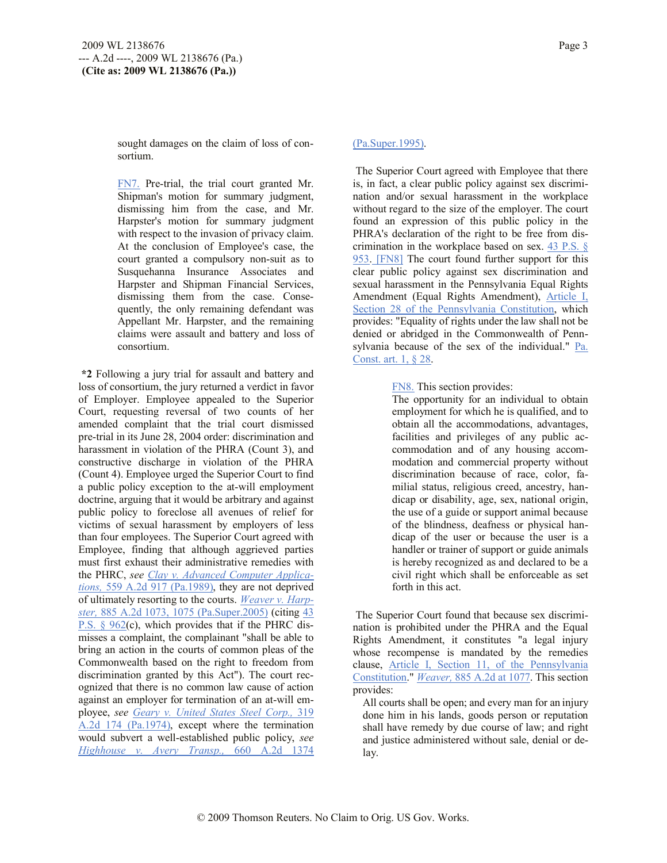sought damages on the claim of loss of consortium.

FN7. Pre-trial, the trial court granted Mr. Shipman's motion for summary judgment, dismissing him from the case, and Mr. Harpster's motion for summary judgment with respect to the invasion of privacy claim. At the conclusion of Employee's case, the court granted a compulsory non-suit as to Susquehanna Insurance Associates and Harpster and Shipman Financial Services, dismissing them from the case. Consequently, the only remaining defendant was Appellant Mr. Harpster, and the remaining claims were assault and battery and loss of consortium.

**\*2** Following a jury trial for assault and battery and loss of consortium, the jury returned a verdict in favor of Employer. Employee appealed to the Superior Court, requesting reversal of two counts of her amended complaint that the trial court dismissed pre-trial in its June 28, 2004 order: discrimination and harassment in violation of the PHRA (Count 3), and constructive discharge in violation of the PHRA (Count 4). Employee urged the Superior Court to find a public policy exception to the at-will employment doctrine, arguing that it would be arbitrary and against public policy to foreclose all avenues of relief for victims of sexual harassment by employers of less than four employees. The Superior Court agreed with Employee, finding that although aggrieved parties must first exhaust their administrative remedies with the PHRC, *see Clay v. Advanced Computer Applications,* 559 A.2d 917 (Pa.1989), they are not deprived of ultimately resorting to the courts. *Weaver v. Harpster,* 885 A.2d 1073, 1075 (Pa.Super.2005) (citing 43 P.S. § 962(c), which provides that if the PHRC dismisses a complaint, the complainant "shall be able to bring an action in the courts of common pleas of the Commonwealth based on the right to freedom from discrimination granted by this Act"). The court recognized that there is no common law cause of action against an employer for termination of an at-will employee, *see Geary v. United States Steel Corp.,* 319 A.2d 174 (Pa.1974), except where the termination would subvert a well-established public policy, *see Highhouse v. Avery Transp.,* 660 A.2d 1374

## (Pa.Super.1995).

The Superior Court agreed with Employee that there is, in fact, a clear public policy against sex discrimination and/or sexual harassment in the workplace without regard to the size of the employer. The court found an expression of this public policy in the PHRA's declaration of the right to be free from discrimination in the workplace based on sex.  $43$  P.S. § 953. [FN8] The court found further support for this clear public policy against sex discrimination and sexual harassment in the Pennsylvania Equal Rights Amendment (Equal Rights Amendment), Article I, Section 28 of the Pennsylvania Constitution, which provides: "Equality of rights under the law shall not be denied or abridged in the Commonwealth of Pennsylvania because of the sex of the individual." Pa. Const. art. 1, § 28.

FN8. This section provides:

The opportunity for an individual to obtain employment for which he is qualified, and to obtain all the accommodations, advantages, facilities and privileges of any public accommodation and of any housing accommodation and commercial property without discrimination because of race, color, familial status, religious creed, ancestry, handicap or disability, age, sex, national origin, the use of a guide or support animal because of the blindness, deafness or physical handicap of the user or because the user is a handler or trainer of support or guide animals is hereby recognized as and declared to be a civil right which shall be enforceable as set forth in this act.

The Superior Court found that because sex discrimination is prohibited under the PHRA and the Equal Rights Amendment, it constitutes "a legal injury whose recompense is mandated by the remedies clause, Article I, Section 11, of the Pennsylvania Constitution." *Weaver,* 885 A.2d at 1077. This section provides:

All courts shall be open; and every man for an injury done him in his lands, goods person or reputation shall have remedy by due course of law; and right and justice administered without sale, denial or delay.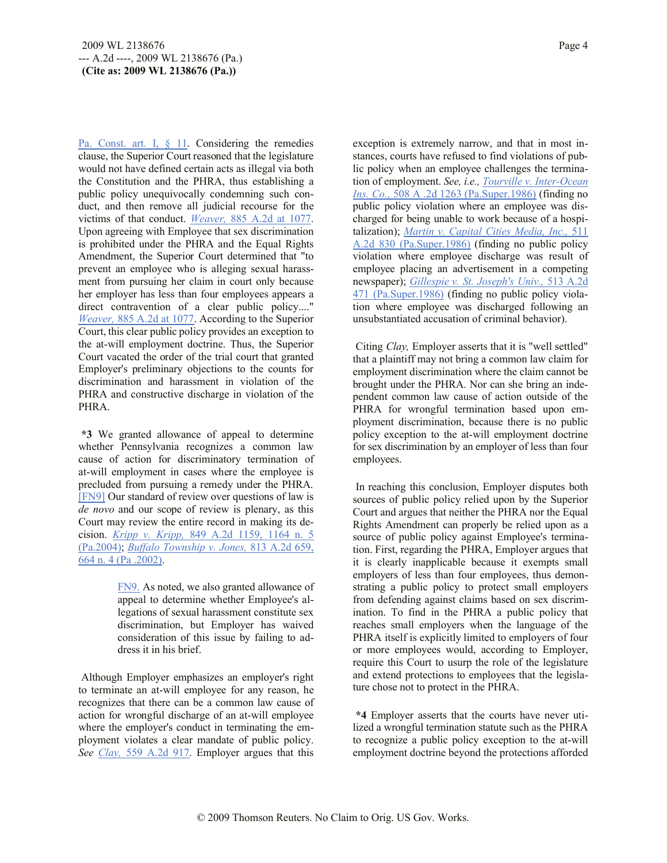Pa. Const. art. I, § 11. Considering the remedies clause, the Superior Court reasoned that the legislature would not have defined certain acts as illegal via both the Constitution and the PHRA, thus establishing a public policy unequivocally condemning such conduct, and then remove all judicial recourse for the victims of that conduct. *Weaver,* 885 A.2d at 1077. Upon agreeing with Employee that sex discrimination is prohibited under the PHRA and the Equal Rights Amendment, the Superior Court determined that "to prevent an employee who is alleging sexual harassment from pursuing her claim in court only because her employer has less than four employees appears a direct contravention of a clear public policy...." *Weaver,* 885 A.2d at 1077. According to the Superior Court, this clear public policy provides an exception to the at-will employment doctrine. Thus, the Superior Court vacated the order of the trial court that granted Employer's preliminary objections to the counts for discrimination and harassment in violation of the PHRA and constructive discharge in violation of the PHRA.

**\*3** We granted allowance of appeal to determine whether Pennsylvania recognizes a common law cause of action for discriminatory termination of at-will employment in cases where the employee is precluded from pursuing a remedy under the PHRA. [FN9] Our standard of review over questions of law is *de novo* and our scope of review is plenary, as this Court may review the entire record in making its decision. *Kripp v. Kripp,* 849 A.2d 1159, 1164 n. 5 (Pa.2004); *Buffalo Township v. Jones,* 813 A.2d 659, 664 n. 4 (Pa .2002).

> FN9. As noted, we also granted allowance of appeal to determine whether Employee's allegations of sexual harassment constitute sex discrimination, but Employer has waived consideration of this issue by failing to address it in his brief.

Although Employer emphasizes an employer's right to terminate an at-will employee for any reason, he recognizes that there can be a common law cause of action for wrongful discharge of an at-will employee where the employer's conduct in terminating the employment violates a clear mandate of public policy. *See Clay,* 559 A.2d 917. Employer argues that this

exception is extremely narrow, and that in most instances, courts have refused to find violations of public policy when an employee challenges the termination of employment. *See, i.e., Tourville v. Inter-Ocean Ins. Co.,* 508 A .2d 1263 (Pa.Super.1986) (finding no public policy violation where an employee was discharged for being unable to work because of a hospitalization); *Martin v. Capital Cities Media, Inc.,* 511 A.2d 830 (Pa.Super.1986) (finding no public policy violation where employee discharge was result of employee placing an advertisement in a competing newspaper); *Gillespie v. St. Joseph's Univ.,* 513 A.2d 471 (Pa.Super.1986) (finding no public policy violation where employee was discharged following an unsubstantiated accusation of criminal behavior).

Citing *Clay,* Employer asserts that it is "well settled" that a plaintiff may not bring a common law claim for employment discrimination where the claim cannot be brought under the PHRA. Nor can she bring an independent common law cause of action outside of the PHRA for wrongful termination based upon employment discrimination, because there is no public policy exception to the at-will employment doctrine for sex discrimination by an employer of less than four employees.

In reaching this conclusion, Employer disputes both sources of public policy relied upon by the Superior Court and argues that neither the PHRA nor the Equal Rights Amendment can properly be relied upon as a source of public policy against Employee's termination. First, regarding the PHRA, Employer argues that it is clearly inapplicable because it exempts small employers of less than four employees, thus demonstrating a public policy to protect small employers from defending against claims based on sex discrimination. To find in the PHRA a public policy that reaches small employers when the language of the PHRA itself is explicitly limited to employers of four or more employees would, according to Employer, require this Court to usurp the role of the legislature and extend protections to employees that the legislature chose not to protect in the PHRA.

**\*4** Employer asserts that the courts have never utilized a wrongful termination statute such as the PHRA to recognize a public policy exception to the at-will employment doctrine beyond the protections afforded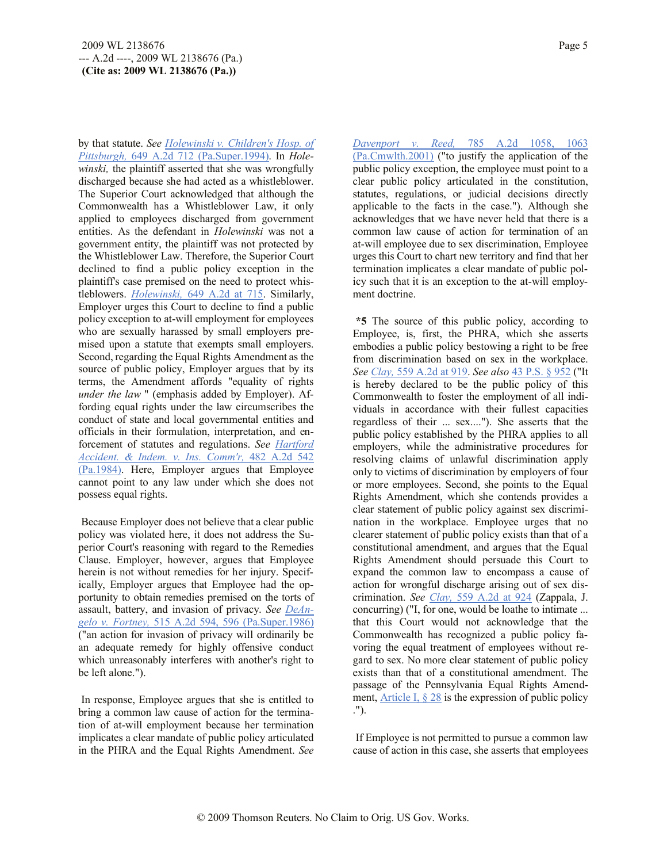by that statute. *See Holewinski v. Children's Hosp. of Pittsburgh,* 649 A.2d 712 (Pa.Super.1994). In *Holewinski,* the plaintiff asserted that she was wrongfully discharged because she had acted as a whistleblower. The Superior Court acknowledged that although the Commonwealth has a Whistleblower Law, it only applied to employees discharged from government entities. As the defendant in *Holewinski* was not a government entity, the plaintiff was not protected by the Whistleblower Law. Therefore, the Superior Court declined to find a public policy exception in the plaintiff's case premised on the need to protect whistleblowers. *Holewinski,* 649 A.2d at 715. Similarly, Employer urges this Court to decline to find a public policy exception to at-will employment for employees who are sexually harassed by small employers premised upon a statute that exempts small employers. Second, regarding the Equal Rights Amendment as the source of public policy, Employer argues that by its terms, the Amendment affords "equality of rights *under the law* " (emphasis added by Employer). Affording equal rights under the law circumscribes the conduct of state and local governmental entities and officials in their formulation, interpretation, and enforcement of statutes and regulations. *See Hartford Accident. & Indem. v. Ins. Comm'r,* 482 A.2d 542 (Pa.1984). Here, Employer argues that Employee cannot point to any law under which she does not possess equal rights.

Because Employer does not believe that a clear public policy was violated here, it does not address the Superior Court's reasoning with regard to the Remedies Clause. Employer, however, argues that Employee herein is not without remedies for her injury. Specifically, Employer argues that Employee had the opportunity to obtain remedies premised on the torts of assault, battery, and invasion of privacy. *See DeAngelo v. Fortney,* 515 A.2d 594, 596 (Pa.Super.1986) ("an action for invasion of privacy will ordinarily be an adequate remedy for highly offensive conduct which unreasonably interferes with another's right to be left alone.").

In response, Employee argues that she is entitled to bring a common law cause of action for the termination of at-will employment because her termination implicates a clear mandate of public policy articulated in the PHRA and the Equal Rights Amendment. *See*  *Davenport v. Reed,* 785 A.2d 1058, 1063 (Pa.Cmwlth.2001) ("to justify the application of the public policy exception, the employee must point to a clear public policy articulated in the constitution, statutes, regulations, or judicial decisions directly applicable to the facts in the case."). Although she acknowledges that we have never held that there is a common law cause of action for termination of an at-will employee due to sex discrimination, Employee urges this Court to chart new territory and find that her termination implicates a clear mandate of public policy such that it is an exception to the at-will employment doctrine.

**\*5** The source of this public policy, according to Employee, is, first, the PHRA, which she asserts embodies a public policy bestowing a right to be free from discrimination based on sex in the workplace. *See Clay,* 559 A.2d at 919. *See also* 43 P.S. § 952 ("It is hereby declared to be the public policy of this Commonwealth to foster the employment of all individuals in accordance with their fullest capacities regardless of their ... sex...."). She asserts that the public policy established by the PHRA applies to all employers, while the administrative procedures for resolving claims of unlawful discrimination apply only to victims of discrimination by employers of four or more employees. Second, she points to the Equal Rights Amendment, which she contends provides a clear statement of public policy against sex discrimination in the workplace. Employee urges that no clearer statement of public policy exists than that of a constitutional amendment, and argues that the Equal Rights Amendment should persuade this Court to expand the common law to encompass a cause of action for wrongful discharge arising out of sex discrimination. *See Clay,* 559 A.2d at 924 (Zappala, J. concurring) ("I, for one, would be loathe to intimate ... that this Court would not acknowledge that the Commonwealth has recognized a public policy favoring the equal treatment of employees without regard to sex. No more clear statement of public policy exists than that of a constitutional amendment. The passage of the Pennsylvania Equal Rights Amendment, Article I,  $\S 28$  is the expression of public policy .").

If Employee is not permitted to pursue a common law cause of action in this case, she asserts that employees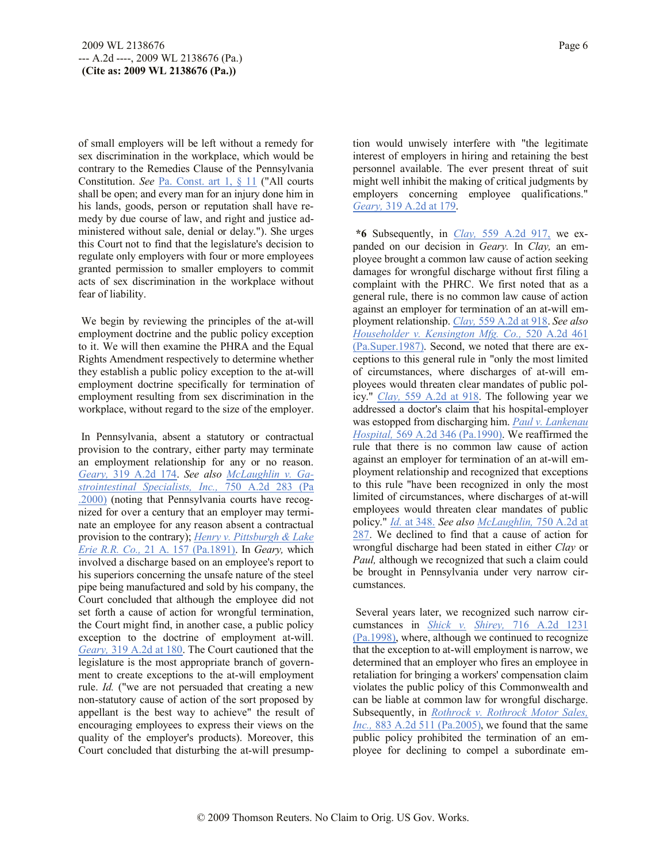of small employers will be left without a remedy for sex discrimination in the workplace, which would be contrary to the Remedies Clause of the Pennsylvania Constitution. *See* Pa. Const. art 1, § 11 ("All courts shall be open; and every man for an injury done him in his lands, goods, person or reputation shall have remedy by due course of law, and right and justice administered without sale, denial or delay."). She urges this Court not to find that the legislature's decision to regulate only employers with four or more employees granted permission to smaller employers to commit acts of sex discrimination in the workplace without fear of liability.

We begin by reviewing the principles of the at-will employment doctrine and the public policy exception to it. We will then examine the PHRA and the Equal Rights Amendment respectively to determine whether they establish a public policy exception to the at-will employment doctrine specifically for termination of employment resulting from sex discrimination in the workplace, without regard to the size of the employer.

In Pennsylvania, absent a statutory or contractual provision to the contrary, either party may terminate an employment relationship for any or no reason. *Geary,* 319 A.2d 174. *See also McLaughlin v. Gastrointestinal Specialists, Inc.,* 750 A.2d 283 (Pa .2000) (noting that Pennsylvania courts have recognized for over a century that an employer may terminate an employee for any reason absent a contractual provision to the contrary); *Henry v. Pittsburgh & Lake Erie R.R. Co.,* 21 A. 157 (Pa.1891). In *Geary,* which involved a discharge based on an employee's report to his superiors concerning the unsafe nature of the steel pipe being manufactured and sold by his company, the Court concluded that although the employee did not set forth a cause of action for wrongful termination, the Court might find, in another case, a public policy exception to the doctrine of employment at-will. *Geary,* 319 A.2d at 180. The Court cautioned that the legislature is the most appropriate branch of government to create exceptions to the at-will employment rule. *Id.* ("we are not persuaded that creating a new non-statutory cause of action of the sort proposed by appellant is the best way to achieve" the result of encouraging employees to express their views on the quality of the employer's products). Moreover, this Court concluded that disturbing the at-will presumption would unwisely interfere with "the legitimate interest of employers in hiring and retaining the best personnel available. The ever present threat of suit might well inhibit the making of critical judgments by employers concerning employee qualifications." *Geary,* 319 A.2d at 179.

**\*6** Subsequently, in *Clay,* 559 A.2d 917, we expanded on our decision in *Geary.* In *Clay,* an employee brought a common law cause of action seeking damages for wrongful discharge without first filing a complaint with the PHRC. We first noted that as a general rule, there is no common law cause of action against an employer for termination of an at-will employment relationship. *Clay,* 559 A.2d at 918. *See also Householder v. Kensington Mfg. Co.,* 520 A.2d 461 (Pa.Super.1987). Second, we noted that there are exceptions to this general rule in "only the most limited of circumstances, where discharges of at-will employees would threaten clear mandates of public policy." *Clay,* 559 A.2d at 918. The following year we addressed a doctor's claim that his hospital-employer was estopped from discharging him. *Paul v. Lankenau Hospital,* 569 A.2d 346 (Pa.1990). We reaffirmed the rule that there is no common law cause of action against an employer for termination of an at-will employment relationship and recognized that exceptions to this rule "have been recognized in only the most limited of circumstances, where discharges of at-will employees would threaten clear mandates of public policy." *Id.* at 348. *See also McLaughlin,* 750 A.2d at 287. We declined to find that a cause of action for wrongful discharge had been stated in either *Clay* or *Paul,* although we recognized that such a claim could be brought in Pennsylvania under very narrow circumstances.

Several years later, we recognized such narrow circumstances in *Shick v. Shirey,* 716 A.2d 1231 (Pa.1998), where, although we continued to recognize that the exception to at-will employment is narrow, we determined that an employer who fires an employee in retaliation for bringing a workers' compensation claim violates the public policy of this Commonwealth and can be liable at common law for wrongful discharge. Subsequently, in *Rothrock v. Rothrock Motor Sales, Inc.,* 883 A.2d 511 (Pa.2005), we found that the same public policy prohibited the termination of an employee for declining to compel a subordinate em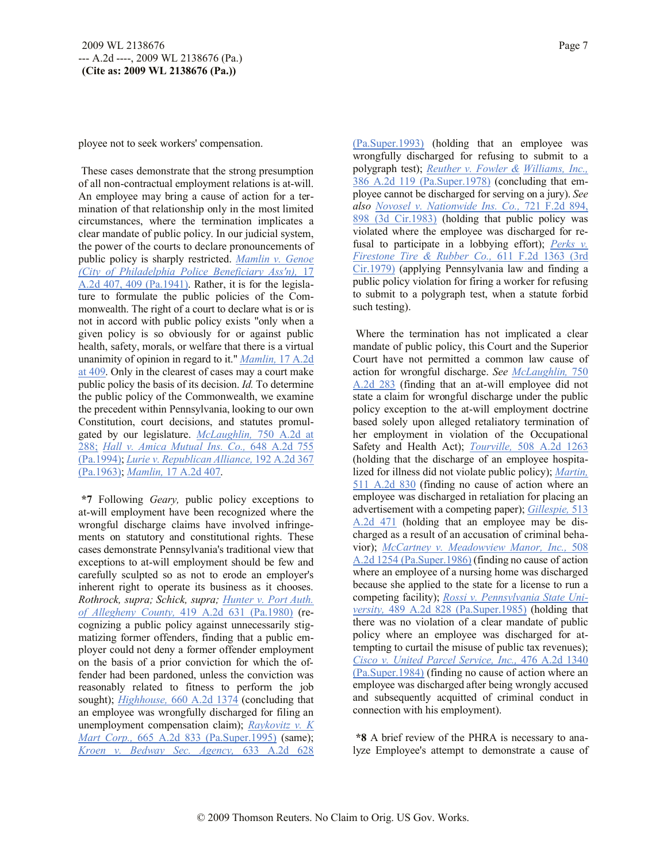ployee not to seek workers' compensation.

These cases demonstrate that the strong presumption of all non-contractual employment relations is at-will. An employee may bring a cause of action for a termination of that relationship only in the most limited circumstances, where the termination implicates a clear mandate of public policy. In our judicial system, the power of the courts to declare pronouncements of public policy is sharply restricted. *Mamlin v. Genoe (City of Philadelphia Police Beneficiary Ass'n),* 17 A.2d 407, 409 (Pa.1941). Rather, it is for the legislature to formulate the public policies of the Commonwealth. The right of a court to declare what is or is not in accord with public policy exists "only when a given policy is so obviously for or against public health, safety, morals, or welfare that there is a virtual unanimity of opinion in regard to it." *Mamlin,* 17 A.2d at 409. Only in the clearest of cases may a court make public policy the basis of its decision. *Id.* To determine the public policy of the Commonwealth, we examine the precedent within Pennsylvania, looking to our own Constitution, court decisions, and statutes promulgated by our legislature. *McLaughlin,* 750 A.2d at 288; *Hall v. Amica Mutual Ins. Co.,* 648 A.2d 755 (Pa.1994); *Lurie v. Republican Alliance,* 192 A.2d 367 (Pa.1963); *Mamlin,* 17 A.2d 407.

**\*7** Following *Geary,* public policy exceptions to at-will employment have been recognized where the wrongful discharge claims have involved infringements on statutory and constitutional rights. These cases demonstrate Pennsylvania's traditional view that exceptions to at-will employment should be few and carefully sculpted so as not to erode an employer's inherent right to operate its business as it chooses. *Rothrock, supra; Schick, supra; Hunter v. Port Auth. of Allegheny County,* 419 A.2d 631 (Pa.1980) (recognizing a public policy against unnecessarily stigmatizing former offenders, finding that a public employer could not deny a former offender employment on the basis of a prior conviction for which the offender had been pardoned, unless the conviction was reasonably related to fitness to perform the job sought); *Highhouse,* 660 A.2d 1374 (concluding that an employee was wrongfully discharged for filing an unemployment compensation claim); *Raykovitz v. K Mart Corp.,* 665 A.2d 833 (Pa.Super.1995) (same); *Kroen v. Bedway Sec. Agency,* 633 A.2d 628

(Pa.Super.1993) (holding that an employee was wrongfully discharged for refusing to submit to a polygraph test); *Reuther v. Fowler & Williams, Inc.,* 386 A.2d 119 (Pa.Super.1978) (concluding that employee cannot be discharged for serving on a jury). *See also Novosel v. Nationwide Ins. Co.,* 721 F.2d 894, 898 (3d Cir.1983) (holding that public policy was violated where the employee was discharged for refusal to participate in a lobbying effort); *Perks v. Firestone Tire & Rubber Co.,* 611 F.2d 1363 (3rd Cir.1979) (applying Pennsylvania law and finding a public policy violation for firing a worker for refusing to submit to a polygraph test, when a statute forbid such testing).

Where the termination has not implicated a clear mandate of public policy, this Court and the Superior Court have not permitted a common law cause of action for wrongful discharge. *See McLaughlin,* 750 A.2d 283 (finding that an at-will employee did not state a claim for wrongful discharge under the public policy exception to the at-will employment doctrine based solely upon alleged retaliatory termination of her employment in violation of the Occupational Safety and Health Act); *Tourville,* 508 A.2d 1263 (holding that the discharge of an employee hospitalized for illness did not violate public policy); *Martin,* 511 A.2d 830 (finding no cause of action where an employee was discharged in retaliation for placing an advertisement with a competing paper); *Gillespie,* 513 A.2d 471 (holding that an employee may be discharged as a result of an accusation of criminal behavior); *McCartney v. Meadowview Manor, Inc.,* 508 A.2d 1254 (Pa.Super.1986) (finding no cause of action where an employee of a nursing home was discharged because she applied to the state for a license to run a competing facility); *Rossi v. Pennsylvania State University,* 489 A.2d 828 (Pa.Super.1985) (holding that there was no violation of a clear mandate of public policy where an employee was discharged for attempting to curtail the misuse of public tax revenues); *Cisco v. United Parcel Service, Inc.,* 476 A.2d 1340 (Pa.Super.1984) (finding no cause of action where an employee was discharged after being wrongly accused and subsequently acquitted of criminal conduct in connection with his employment).

**\*8** A brief review of the PHRA is necessary to analyze Employee's attempt to demonstrate a cause of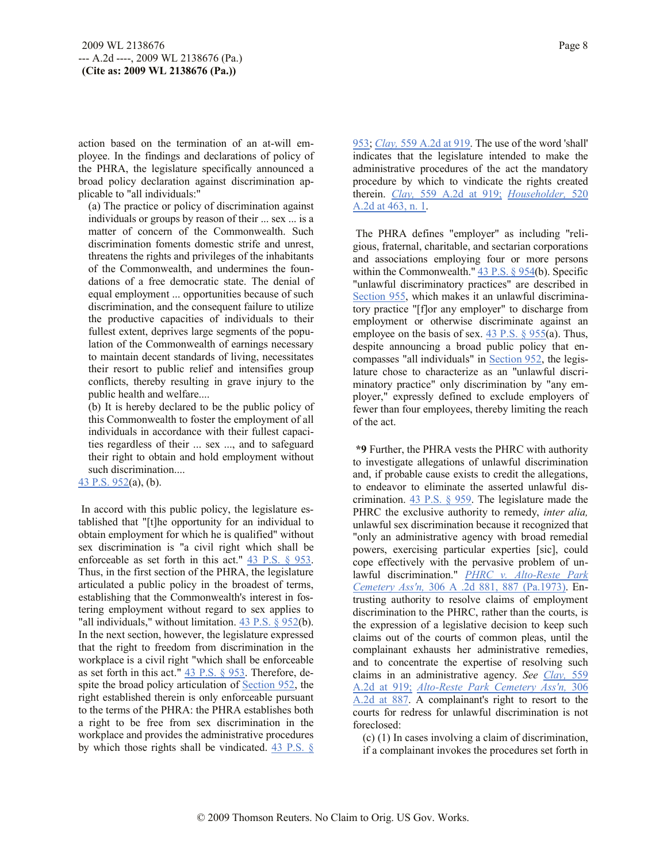action based on the termination of an at-will employee. In the findings and declarations of policy of the PHRA, the legislature specifically announced a broad policy declaration against discrimination applicable to "all individuals:"

(a) The practice or policy of discrimination against individuals or groups by reason of their ... sex ... is a matter of concern of the Commonwealth. Such discrimination foments domestic strife and unrest, threatens the rights and privileges of the inhabitants of the Commonwealth, and undermines the foundations of a free democratic state. The denial of equal employment ... opportunities because of such discrimination, and the consequent failure to utilize the productive capacities of individuals to their fullest extent, deprives large segments of the population of the Commonwealth of earnings necessary to maintain decent standards of living, necessitates their resort to public relief and intensifies group conflicts, thereby resulting in grave injury to the public health and welfare....

(b) It is hereby declared to be the public policy of this Commonwealth to foster the employment of all individuals in accordance with their fullest capacities regardless of their ... sex ..., and to safeguard their right to obtain and hold employment without such discrimination....

43 P.S. 952(a), (b).

In accord with this public policy, the legislature established that "[t]he opportunity for an individual to obtain employment for which he is qualified" without sex discrimination is "a civil right which shall be enforceable as set forth in this act." 43 P.S. § 953. Thus, in the first section of the PHRA, the legislature articulated a public policy in the broadest of terms, establishing that the Commonwealth's interest in fostering employment without regard to sex applies to "all individuals," without limitation. 43 P.S. § 952(b). In the next section, however, the legislature expressed that the right to freedom from discrimination in the workplace is a civil right "which shall be enforceable as set forth in this act." 43 P.S. § 953. Therefore, despite the broad policy articulation of Section 952, the right established therein is only enforceable pursuant to the terms of the PHRA: the PHRA establishes both a right to be free from sex discrimination in the workplace and provides the administrative procedures by which those rights shall be vindicated. 43 P.S. §

953; *Clay,* 559 A.2d at 919. The use of the word 'shall' indicates that the legislature intended to make the administrative procedures of the act the mandatory procedure by which to vindicate the rights created therein. *Clay,* 559 A.2d at 919; *Householder,* 520 A.2d at 463, n. 1.

The PHRA defines "employer" as including "religious, fraternal, charitable, and sectarian corporations and associations employing four or more persons within the Commonwealth."  $43$  P.S. § 954(b). Specific "unlawful discriminatory practices" are described in Section 955, which makes it an unlawful discriminatory practice "[f]or any employer" to discharge from employment or otherwise discriminate against an employee on the basis of sex.  $43$  P.S. § 955(a). Thus, despite announcing a broad public policy that encompasses "all individuals" in Section 952, the legislature chose to characterize as an "unlawful discriminatory practice" only discrimination by "any employer," expressly defined to exclude employers of fewer than four employees, thereby limiting the reach of the act.

**\*9** Further, the PHRA vests the PHRC with authority to investigate allegations of unlawful discrimination and, if probable cause exists to credit the allegations, to endeavor to eliminate the asserted unlawful discrimination. 43 P.S. § 959. The legislature made the PHRC the exclusive authority to remedy, *inter alia,* unlawful sex discrimination because it recognized that "only an administrative agency with broad remedial powers, exercising particular experties [sic], could cope effectively with the pervasive problem of unlawful discrimination." *PHRC v. Alto-Reste Park Cemetery Ass'n,* 306 A .2d 881, 887 (Pa.1973). Entrusting authority to resolve claims of employment discrimination to the PHRC, rather than the courts, is the expression of a legislative decision to keep such claims out of the courts of common pleas, until the complainant exhausts her administrative remedies, and to concentrate the expertise of resolving such claims in an administrative agency. *See Clay,* 559 A.2d at 919; *Alto-Reste Park Cemetery Ass'n,* 306 A.2d at 887. A complainant's right to resort to the courts for redress for unlawful discrimination is not foreclosed:

(c) (1) In cases involving a claim of discrimination, if a complainant invokes the procedures set forth in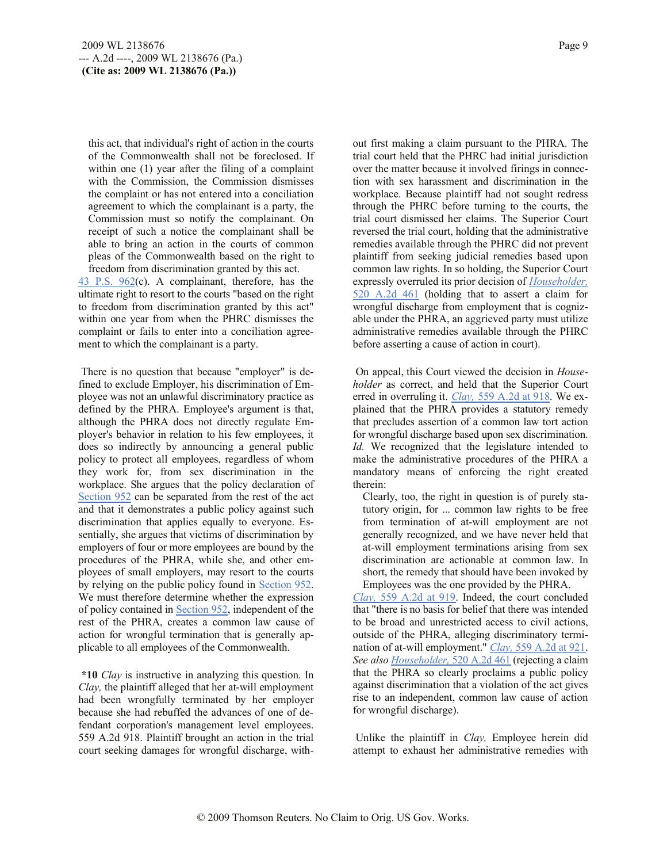this act, that individual's right of action in the courts of the Commonwealth shall not be foreclosed. If within one (1) year after the filing of a complaint with the Commission, the Commission dismisses the complaint or has not entered into a conciliation agreement to which the complainant is a party, the Commission must so notify the complainant. On receipt of such a notice the complainant shall be able to bring an action in the courts of common pleas of the Commonwealth based on the right to freedom from discrimination granted by this act.

43 P.S. 962(c). A complainant, therefore, has the ultimate right to resort to the courts "based on the right to freedom from discrimination granted by this act" within one year from when the PHRC dismisses the complaint or fails to enter into a conciliation agreement to which the complainant is a party.

There is no question that because "employer" is defined to exclude Employer, his discrimination of Employee was not an unlawful discriminatory practice as defined by the PHRA. Employee's argument is that, although the PHRA does not directly regulate Employer's behavior in relation to his few employees, it does so indirectly by announcing a general public policy to protect all employees, regardless of whom they work for, from sex discrimination in the workplace. She argues that the policy declaration of Section 952 can be separated from the rest of the act and that it demonstrates a public policy against such discrimination that applies equally to everyone. Essentially, she argues that victims of discrimination by employers of four or more employees are bound by the procedures of the PHRA, while she, and other employees of small employers, may resort to the courts by relying on the public policy found in Section 952. We must therefore determine whether the expression of policy contained in Section 952, independent of the rest of the PHRA, creates a common law cause of action for wrongful termination that is generally applicable to all employees of the Commonwealth.

**\*10** *Clay* is instructive in analyzing this question. In *Clay,* the plaintiff alleged that her at-will employment had been wrongfully terminated by her employer because she had rebuffed the advances of one of defendant corporation's management level employees. 559 A.2d 918. Plaintiff brought an action in the trial court seeking damages for wrongful discharge, without first making a claim pursuant to the PHRA. The trial court held that the PHRC had initial jurisdiction over the matter because it involved firings in connection with sex harassment and discrimination in the workplace. Because plaintiff had not sought redress through the PHRC before turning to the courts, the trial court dismissed her claims. The Superior Court reversed the trial court, holding that the administrative remedies available through the PHRC did not prevent plaintiff from seeking judicial remedies based upon common law rights. In so holding, the Superior Court expressly overruled its prior decision of *Householder,* 520 A.2d 461 (holding that to assert a claim for wrongful discharge from employment that is cognizable under the PHRA, an aggrieved party must utilize administrative remedies available through the PHRC before asserting a cause of action in court).

On appeal, this Court viewed the decision in *Householder* as correct, and held that the Superior Court erred in overruling it. *Clay,* 559 A.2d at 918. We explained that the PHRA provides a statutory remedy that precludes assertion of a common law tort action for wrongful discharge based upon sex discrimination. *Id.* We recognized that the legislature intended to make the administrative procedures of the PHRA a mandatory means of enforcing the right created therein:

Clearly, too, the right in question is of purely statutory origin, for ... common law rights to be free from termination of at-will employment are not generally recognized, and we have never held that at-will employment terminations arising from sex discrimination are actionable at common law. In short, the remedy that should have been invoked by Employees was the one provided by the PHRA.

*Clay,* 559 A.2d at 919. Indeed, the court concluded that "there is no basis for belief that there was intended to be broad and unrestricted access to civil actions, outside of the PHRA, alleging discriminatory termination of at-will employment." *Clay,* 559 A.2d at 921. *See also Householder,* 520 A.2d 461 (rejecting a claim that the PHRA so clearly proclaims a public policy against discrimination that a violation of the act gives rise to an independent, common law cause of action for wrongful discharge).

Unlike the plaintiff in *Clay,* Employee herein did attempt to exhaust her administrative remedies with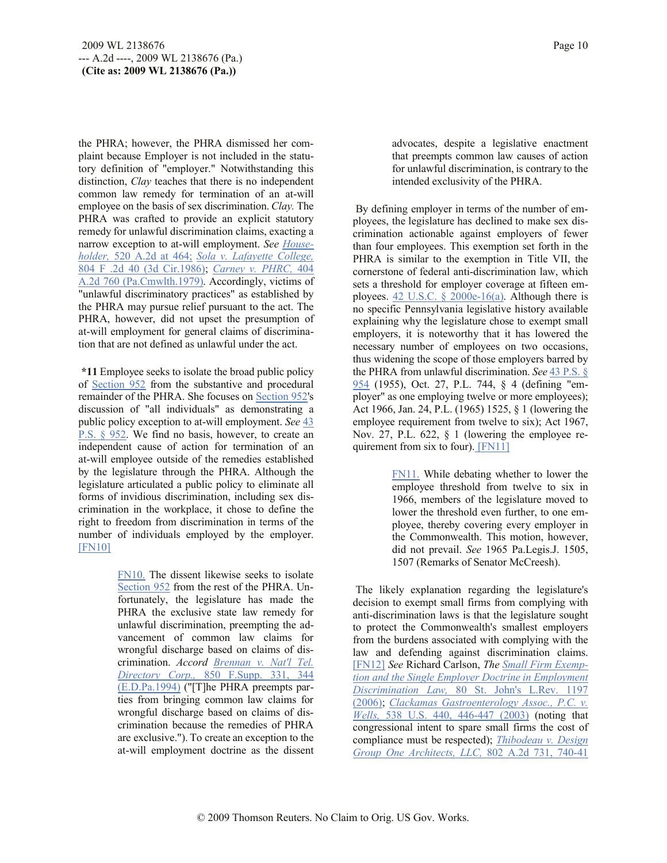the PHRA; however, the PHRA dismissed her complaint because Employer is not included in the statutory definition of "employer." Notwithstanding this distinction, *Clay* teaches that there is no independent common law remedy for termination of an at-will employee on the basis of sex discrimination. *Clay.* The PHRA was crafted to provide an explicit statutory remedy for unlawful discrimination claims, exacting a narrow exception to at-will employment. *See Householder,* 520 A.2d at 464; *Sola v. Lafayette College,* 804 F .2d 40 (3d Cir.1986); *Carney v. PHRC,* 404 A.2d 760 (Pa.Cmwlth.1979). Accordingly, victims of "unlawful discriminatory practices" as established by the PHRA may pursue relief pursuant to the act. The PHRA, however, did not upset the presumption of at-will employment for general claims of discrimination that are not defined as unlawful under the act.

**\*11** Employee seeks to isolate the broad public policy of Section 952 from the substantive and procedural remainder of the PHRA. She focuses on Section 952's discussion of "all individuals" as demonstrating a public policy exception to at-will employment. *See* 43 P.S. § 952. We find no basis, however, to create an independent cause of action for termination of an at-will employee outside of the remedies established by the legislature through the PHRA. Although the legislature articulated a public policy to eliminate all forms of invidious discrimination, including sex discrimination in the workplace, it chose to define the right to freedom from discrimination in terms of the number of individuals employed by the employer. [FN10]

> FN10. The dissent likewise seeks to isolate Section 952 from the rest of the PHRA. Unfortunately, the legislature has made the PHRA the exclusive state law remedy for unlawful discrimination, preempting the advancement of common law claims for wrongful discharge based on claims of discrimination. *Accord Brennan v. Nat'l Tel. Directory Corp.,* 850 F.Supp. 331, 344 (E.D.Pa.1994) ("[T]he PHRA preempts parties from bringing common law claims for wrongful discharge based on claims of discrimination because the remedies of PHRA are exclusive."). To create an exception to the at-will employment doctrine as the dissent

advocates, despite a legislative enactment that preempts common law causes of action for unlawful discrimination, is contrary to the intended exclusivity of the PHRA.

By defining employer in terms of the number of employees, the legislature has declined to make sex discrimination actionable against employers of fewer than four employees. This exemption set forth in the PHRA is similar to the exemption in Title VII, the cornerstone of federal anti-discrimination law, which sets a threshold for employer coverage at fifteen employees. 42 U.S.C.  $\&$  2000e-16(a). Although there is no specific Pennsylvania legislative history available explaining why the legislature chose to exempt small employers, it is noteworthy that it has lowered the necessary number of employees on two occasions, thus widening the scope of those employers barred by the PHRA from unlawful discrimination. *See* 43 P.S. § 954 (1955), Oct. 27, P.L. 744, § 4 (defining "employer" as one employing twelve or more employees); Act 1966, Jan. 24, P.L. (1965) 1525, § 1 (lowering the employee requirement from twelve to six); Act 1967, Nov. 27, P.L. 622,  $\S$  1 (lowering the employee requirement from six to four). [FN11]

> FN11. While debating whether to lower the employee threshold from twelve to six in 1966, members of the legislature moved to lower the threshold even further, to one employee, thereby covering every employer in the Commonwealth. This motion, however, did not prevail. *See* 1965 Pa.Legis.J. 1505, 1507 (Remarks of Senator McCreesh).

The likely explanation regarding the legislature's decision to exempt small firms from complying with anti-discrimination laws is that the legislature sought to protect the Commonwealth's smallest employers from the burdens associated with complying with the law and defending against discrimination claims. [FN12] *See* Richard Carlson, *The Small Firm Exemption and the Single Employer Doctrine in Employment Discrimination Law,* 80 St. John's L.Rev. 1197 (2006); *Clackamas Gastroenterology Assoc., P.C. v. Wells,* 538 U.S. 440, 446-447 (2003) (noting that congressional intent to spare small firms the cost of compliance must be respected); *Thibodeau v. Design Group One Architects, LLC,* 802 A.2d 731, 740-41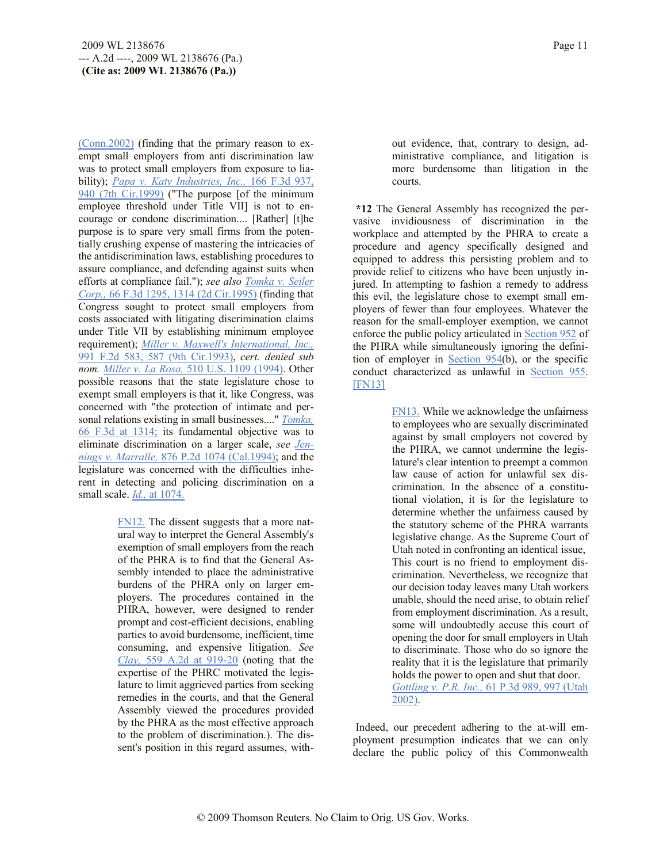(Conn.2002) (finding that the primary reason to exempt small employers from anti discrimination law was to protect small employers from exposure to liability); *Papa v. Katy Industries, Inc.,* 166 F.3d 937, 940 (7th Cir.1999) ("The purpose [of the minimum employee threshold under Title VII] is not to encourage or condone discrimination.... [Rather] [t]he purpose is to spare very small firms from the potentially crushing expense of mastering the intricacies of the antidiscrimination laws, establishing procedures to assure compliance, and defending against suits when efforts at compliance fail."); *see also Tomka v. Seiler Corp.,* 66 F.3d 1295, 1314 (2d Cir.1995) (finding that Congress sought to protect small employers from costs associated with litigating discrimination claims under Title VII by establishing minimum employee requirement); *Miller v. Maxwell's International, Inc.,* 991 F.2d 583, 587 (9th Cir.1993), *cert. denied sub nom. Miller v. La Rosa,* 510 U.S. 1109 (1994). Other possible reasons that the state legislature chose to exempt small employers is that it, like Congress, was concerned with "the protection of intimate and personal relations existing in small businesses...." *Tomka,* 66 F.3d at 1314; its fundamental objective was to eliminate discrimination on a larger scale, *see Jennings v. Marralle,* 876 P.2d 1074 (Cal.1994); and the legislature was concerned with the difficulties inherent in detecting and policing discrimination on a small scale. *Id.,* at 1074.

> FN12. The dissent suggests that a more natural way to interpret the General Assembly's exemption of small employers from the reach of the PHRA is to find that the General Assembly intended to place the administrative burdens of the PHRA only on larger employers. The procedures contained in the PHRA, however, were designed to render prompt and cost-efficient decisions, enabling parties to avoid burdensome, inefficient, time consuming, and expensive litigation. *See Clay,* 559 A.2d at 919-20 (noting that the expertise of the PHRC motivated the legislature to limit aggrieved parties from seeking remedies in the courts, and that the General Assembly viewed the procedures provided by the PHRA as the most effective approach to the problem of discrimination.). The dissent's position in this regard assumes, with

out evidence, that, contrary to design, administrative compliance, and litigation is more burdensome than litigation in the courts.

**\*12** The General Assembly has recognized the pervasive invidiousness of discrimination in the workplace and attempted by the PHRA to create a procedure and agency specifically designed and equipped to address this persisting problem and to provide relief to citizens who have been unjustly injured. In attempting to fashion a remedy to address this evil, the legislature chose to exempt small employers of fewer than four employees. Whatever the reason for the small-employer exemption, we cannot enforce the public policy articulated in Section 952 of the PHRA while simultaneously ignoring the definition of employer in Section 954(b), or the specific conduct characterized as unlawful in Section 955. [FN13]

> FN13. While we acknowledge the unfairness to employees who are sexually discriminated against by small employers not covered by the PHRA, we cannot undermine the legislature's clear intention to preempt a common law cause of action for unlawful sex discrimination. In the absence of a constitutional violation, it is for the legislature to determine whether the unfairness caused by the statutory scheme of the PHRA warrants legislative change. As the Supreme Court of Utah noted in confronting an identical issue, This court is no friend to employment discrimination. Nevertheless, we recognize that our decision today leaves many Utah workers unable, should the need arise, to obtain relief from employment discrimination. As a result, some will undoubtedly accuse this court of opening the door for small employers in Utah to discriminate. Those who do so ignore the reality that it is the legislature that primarily holds the power to open and shut that door. *Gottling v. P.R. Inc.,* 61 P.3d 989, 997 (Utah 2002).

Indeed, our precedent adhering to the at-will employment presumption indicates that we can only declare the public policy of this Commonwealth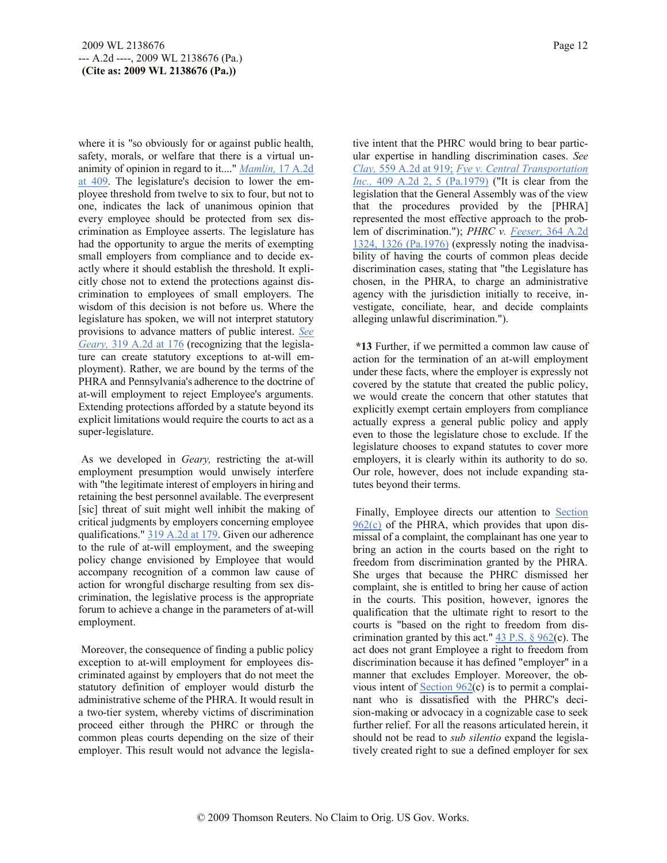where it is "so obviously for or against public health, safety, morals, or welfare that there is a virtual unanimity of opinion in regard to it...." *Mamlin,* 17 A.2d at 409. The legislature's decision to lower the employee threshold from twelve to six to four, but not to one, indicates the lack of unanimous opinion that every employee should be protected from sex discrimination as Employee asserts. The legislature has had the opportunity to argue the merits of exempting small employers from compliance and to decide exactly where it should establish the threshold. It explicitly chose not to extend the protections against discrimination to employees of small employers. The wisdom of this decision is not before us. Where the legislature has spoken, we will not interpret statutory provisions to advance matters of public interest. *See Geary,* 319 A.2d at 176 (recognizing that the legislature can create statutory exceptions to at-will employment). Rather, we are bound by the terms of the PHRA and Pennsylvania's adherence to the doctrine of at-will employment to reject Employee's arguments. Extending protections afforded by a statute beyond its explicit limitations would require the courts to act as a super-legislature.

As we developed in *Geary,* restricting the at-will employment presumption would unwisely interfere with "the legitimate interest of employers in hiring and retaining the best personnel available. The everpresent [sic] threat of suit might well inhibit the making of critical judgments by employers concerning employee qualifications." 319 A.2d at 179. Given our adherence to the rule of at-will employment, and the sweeping policy change envisioned by Employee that would accompany recognition of a common law cause of action for wrongful discharge resulting from sex discrimination, the legislative process is the appropriate forum to achieve a change in the parameters of at-will employment.

Moreover, the consequence of finding a public policy exception to at-will employment for employees discriminated against by employers that do not meet the statutory definition of employer would disturb the administrative scheme of the PHRA. It would result in a two-tier system, whereby victims of discrimination proceed either through the PHRC or through the common pleas courts depending on the size of their employer. This result would not advance the legislative intent that the PHRC would bring to bear particular expertise in handling discrimination cases. *See Clay,* 559 A.2d at 919; *Fye v. Central Transportation Inc.,* 409 A.2d 2, 5 (Pa.1979) ("It is clear from the legislation that the General Assembly was of the view that the procedures provided by the [PHRA] represented the most effective approach to the problem of discrimination."); *PHRC v. Feeser,* 364 A.2d 1324, 1326 (Pa.1976) (expressly noting the inadvisability of having the courts of common pleas decide discrimination cases, stating that "the Legislature has chosen, in the PHRA, to charge an administrative agency with the jurisdiction initially to receive, investigate, conciliate, hear, and decide complaints alleging unlawful discrimination.").

**\*13** Further, if we permitted a common law cause of action for the termination of an at-will employment under these facts, where the employer is expressly not covered by the statute that created the public policy, we would create the concern that other statutes that explicitly exempt certain employers from compliance actually express a general public policy and apply even to those the legislature chose to exclude. If the legislature chooses to expand statutes to cover more employers, it is clearly within its authority to do so. Our role, however, does not include expanding statutes beyond their terms.

Finally, Employee directs our attention to Section 962(c) of the PHRA, which provides that upon dismissal of a complaint, the complainant has one year to bring an action in the courts based on the right to freedom from discrimination granted by the PHRA. She urges that because the PHRC dismissed her complaint, she is entitled to bring her cause of action in the courts. This position, however, ignores the qualification that the ultimate right to resort to the courts is "based on the right to freedom from discrimination granted by this act."  $43$  P.S.  $\frac{6}{962(c)}$ . The act does not grant Employee a right to freedom from discrimination because it has defined "employer" in a manner that excludes Employer. Moreover, the obvious intent of Section 962(c) is to permit a complainant who is dissatisfied with the PHRC's decision-making or advocacy in a cognizable case to seek further relief. For all the reasons articulated herein, it should not be read to *sub silentio* expand the legislatively created right to sue a defined employer for sex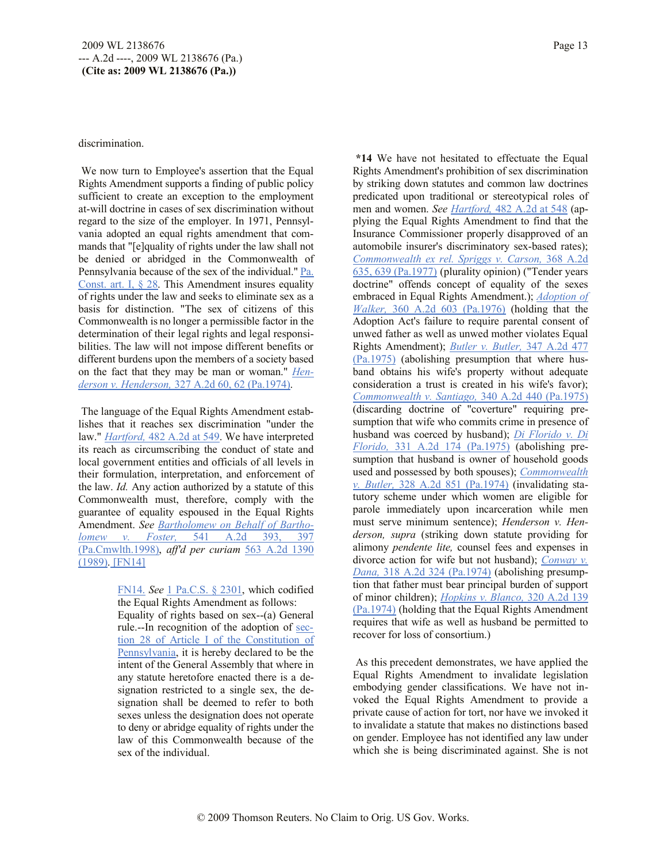#### discrimination.

We now turn to Employee's assertion that the Equal Rights Amendment supports a finding of public policy sufficient to create an exception to the employment at-will doctrine in cases of sex discrimination without regard to the size of the employer. In 1971, Pennsylvania adopted an equal rights amendment that commands that "[e]quality of rights under the law shall not be denied or abridged in the Commonwealth of Pennsylvania because of the sex of the individual." Pa. Const. art. I, § 28. This Amendment insures equality of rights under the law and seeks to eliminate sex as a basis for distinction. "The sex of citizens of this Commonwealth is no longer a permissible factor in the determination of their legal rights and legal responsibilities. The law will not impose different benefits or different burdens upon the members of a society based on the fact that they may be man or woman." *Henderson v. Henderson,* 327 A.2d 60, 62 (Pa.1974).

The language of the Equal Rights Amendment establishes that it reaches sex discrimination "under the law." *Hartford,* 482 A.2d at 549. We have interpreted its reach as circumscribing the conduct of state and local government entities and officials of all levels in their formulation, interpretation, and enforcement of the law. *Id.* Any action authorized by a statute of this Commonwealth must, therefore, comply with the guarantee of equality espoused in the Equal Rights Amendment. *See Bartholomew on Behalf of Bartholomew v. Foster,* 541 A.2d 393, 397 (Pa.Cmwlth.1998), *aff'd per curiam* 563 A.2d 1390 (1989). [FN14]

> FN14. *See* 1 Pa.C.S. § 2301, which codified the Equal Rights Amendment as follows:

Equality of rights based on sex--(a) General rule.--In recognition of the adoption of section 28 of Article I of the Constitution of Pennsylvania, it is hereby declared to be the intent of the General Assembly that where in any statute heretofore enacted there is a designation restricted to a single sex, the designation shall be deemed to refer to both sexes unless the designation does not operate to deny or abridge equality of rights under the law of this Commonwealth because of the sex of the individual.

**\*14** We have not hesitated to effectuate the Equal Rights Amendment's prohibition of sex discrimination by striking down statutes and common law doctrines predicated upon traditional or stereotypical roles of men and women. *See Hartford,* 482 A.2d at 548 (applying the Equal Rights Amendment to find that the Insurance Commissioner properly disapproved of an automobile insurer's discriminatory sex-based rates); *Commonwealth ex rel. Spriggs v. Carson,* 368 A.2d 635, 639 (Pa.1977) (plurality opinion) ("Tender years doctrine" offends concept of equality of the sexes embraced in Equal Rights Amendment.); *Adoption of Walker,* 360 A.2d 603 (Pa.1976) (holding that the Adoption Act's failure to require parental consent of unwed father as well as unwed mother violates Equal Rights Amendment); *Butler v. Butler,* 347 A.2d 477 (Pa.1975) (abolishing presumption that where husband obtains his wife's property without adequate consideration a trust is created in his wife's favor); *Commonwealth v. Santiago,* 340 A.2d 440 (Pa.1975) (discarding doctrine of "coverture" requiring presumption that wife who commits crime in presence of husband was coerced by husband); *Di Florido v. Di Florido,* 331 A.2d 174 (Pa.1975) (abolishing presumption that husband is owner of household goods used and possessed by both spouses); *Commonwealth v. Butler,* 328 A.2d 851 (Pa.1974) (invalidating statutory scheme under which women are eligible for parole immediately upon incarceration while men must serve minimum sentence); *Henderson v. Henderson, supra* (striking down statute providing for alimony *pendente lite,* counsel fees and expenses in divorce action for wife but not husband); *Conway v. Dana,* 318 A.2d 324 (Pa.1974) (abolishing presumption that father must bear principal burden of support of minor children); *Hopkins v. Blanco,* 320 A.2d 139 (Pa.1974) (holding that the Equal Rights Amendment requires that wife as well as husband be permitted to recover for loss of consortium.)

As this precedent demonstrates, we have applied the Equal Rights Amendment to invalidate legislation embodying gender classifications. We have not invoked the Equal Rights Amendment to provide a private cause of action for tort, nor have we invoked it to invalidate a statute that makes no distinctions based on gender. Employee has not identified any law under which she is being discriminated against. She is not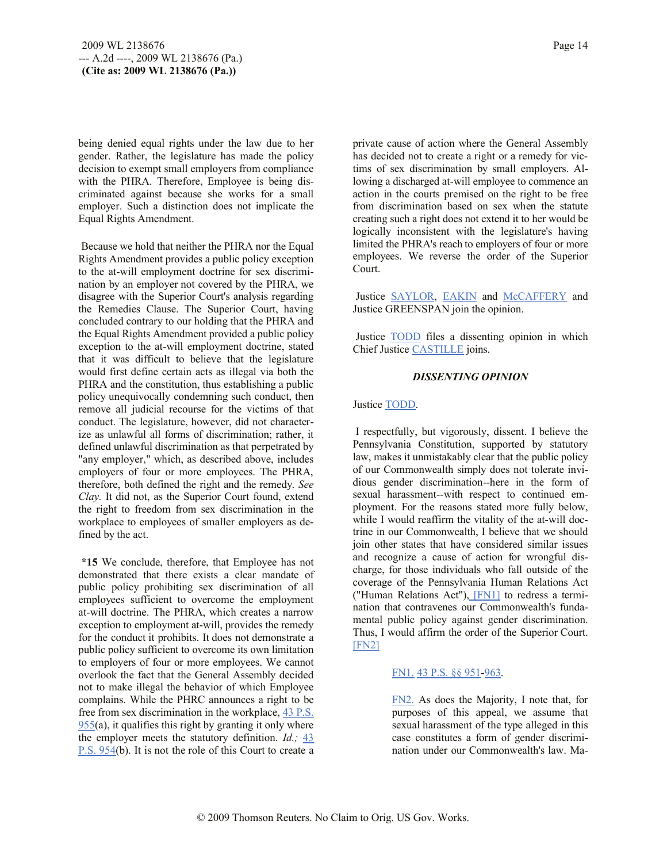being denied equal rights under the law due to her gender. Rather, the legislature has made the policy decision to exempt small employers from compliance with the PHRA. Therefore, Employee is being discriminated against because she works for a small employer. Such a distinction does not implicate the Equal Rights Amendment.

Because we hold that neither the PHRA nor the Equal Rights Amendment provides a public policy exception to the at-will employment doctrine for sex discrimination by an employer not covered by the PHRA, we disagree with the Superior Court's analysis regarding the Remedies Clause. The Superior Court, having concluded contrary to our holding that the PHRA and the Equal Rights Amendment provided a public policy exception to the at-will employment doctrine, stated that it was difficult to believe that the legislature would first define certain acts as illegal via both the PHRA and the constitution, thus establishing a public policy unequivocally condemning such conduct, then remove all judicial recourse for the victims of that conduct. The legislature, however, did not characterize as unlawful all forms of discrimination; rather, it defined unlawful discrimination as that perpetrated by "any employer," which, as described above, includes employers of four or more employees. The PHRA, therefore, both defined the right and the remedy. *See Clay.* It did not, as the Superior Court found, extend the right to freedom from sex discrimination in the workplace to employees of smaller employers as defined by the act.

**\*15** We conclude, therefore, that Employee has not demonstrated that there exists a clear mandate of public policy prohibiting sex discrimination of all employees sufficient to overcome the employment at-will doctrine. The PHRA, which creates a narrow exception to employment at-will, provides the remedy for the conduct it prohibits. It does not demonstrate a public policy sufficient to overcome its own limitation to employers of four or more employees. We cannot overlook the fact that the General Assembly decided not to make illegal the behavior of which Employee complains. While the PHRC announces a right to be free from sex discrimination in the workplace, 43 P.S.  $955(a)$ , it qualifies this right by granting it only where the employer meets the statutory definition. *Id.;* 43 P.S. 954(b). It is not the role of this Court to create a

private cause of action where the General Assembly has decided not to create a right or a remedy for victims of sex discrimination by small employers. Allowing a discharged at-will employee to commence an action in the courts premised on the right to be free from discrimination based on sex when the statute creating such a right does not extend it to her would be logically inconsistent with the legislature's having limited the PHRA's reach to employers of four or more employees. We reverse the order of the Superior Court.

Justice SAYLOR, EAKIN and McCAFFERY and Justice GREENSPAN join the opinion.

Justice TODD files a dissenting opinion in which Chief Justice CASTILLE joins.

#### *DISSENTING OPINION*

Justice TODD.

I respectfully, but vigorously, dissent. I believe the Pennsylvania Constitution, supported by statutory law, makes it unmistakably clear that the public policy of our Commonwealth simply does not tolerate invidious gender discrimination--here in the form of sexual harassment--with respect to continued employment. For the reasons stated more fully below, while I would reaffirm the vitality of the at-will doctrine in our Commonwealth, I believe that we should join other states that have considered similar issues and recognize a cause of action for wrongful discharge, for those individuals who fall outside of the coverage of the Pennsylvania Human Relations Act ("Human Relations Act"), [FN1] to redress a termination that contravenes our Commonwealth's fundamental public policy against gender discrimination. Thus, I would affirm the order of the Superior Court. [FN2]

### FN1. 43 P.S. §§ 951-963.

FN2. As does the Majority, I note that, for purposes of this appeal, we assume that sexual harassment of the type alleged in this case constitutes a form of gender discrimination under our Commonwealth's law. Ma-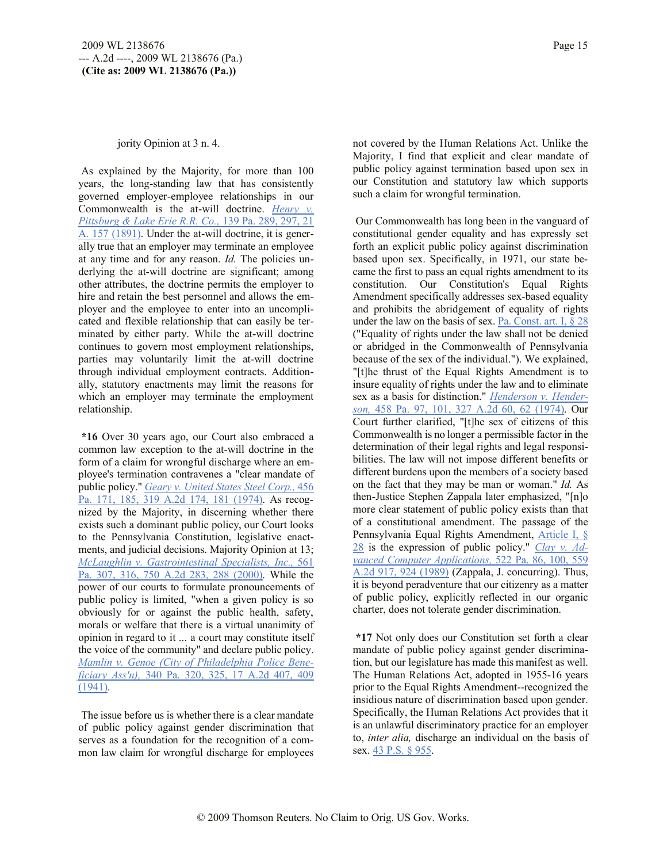#### jority Opinion at 3 n. 4.

As explained by the Majority, for more than 100 years, the long-standing law that has consistently governed employer-employee relationships in our Commonwealth is the at-will doctrine. *Henry v. Pittsburg & Lake Erie R.R. Co.,* 139 Pa. 289, 297, 21 A. 157 (1891). Under the at-will doctrine, it is generally true that an employer may terminate an employee at any time and for any reason. *Id.* The policies underlying the at-will doctrine are significant; among other attributes, the doctrine permits the employer to hire and retain the best personnel and allows the employer and the employee to enter into an uncomplicated and flexible relationship that can easily be terminated by either party. While the at-will doctrine continues to govern most employment relationships, parties may voluntarily limit the at-will doctrine through individual employment contracts. Additionally, statutory enactments may limit the reasons for which an employer may terminate the employment relationship.

**\*16** Over 30 years ago, our Court also embraced a common law exception to the at-will doctrine in the form of a claim for wrongful discharge where an employee's termination contravenes a "clear mandate of public policy." *Geary v. United States Steel Corp.,* 456 Pa. 171, 185, 319 A.2d 174, 181 (1974). As recognized by the Majority, in discerning whether there exists such a dominant public policy, our Court looks to the Pennsylvania Constitution, legislative enactments, and judicial decisions. Majority Opinion at 13; *McLaughlin v. Gastrointestinal Specialists, Inc.,* 561 Pa. 307, 316, 750 A.2d 283, 288 (2000). While the power of our courts to formulate pronouncements of public policy is limited, "when a given policy is so obviously for or against the public health, safety, morals or welfare that there is a virtual unanimity of opinion in regard to it ... a court may constitute itself the voice of the community" and declare public policy. *Mamlin v. Genoe (City of Philadelphia Police Beneficiary Ass'n),* 340 Pa. 320, 325, 17 A.2d 407, 409 (1941).

The issue before us is whether there is a clear mandate of public policy against gender discrimination that serves as a foundation for the recognition of a common law claim for wrongful discharge for employees not covered by the Human Relations Act. Unlike the Majority, I find that explicit and clear mandate of public policy against termination based upon sex in our Constitution and statutory law which supports such a claim for wrongful termination.

Our Commonwealth has long been in the vanguard of constitutional gender equality and has expressly set forth an explicit public policy against discrimination based upon sex. Specifically, in 1971, our state became the first to pass an equal rights amendment to its constitution. Our Constitution's Equal Rights Amendment specifically addresses sex-based equality and prohibits the abridgement of equality of rights under the law on the basis of sex. Pa. Const. art. I,  $\S 28$ ("Equality of rights under the law shall not be denied or abridged in the Commonwealth of Pennsylvania because of the sex of the individual."). We explained, "[t]he thrust of the Equal Rights Amendment is to insure equality of rights under the law and to eliminate sex as a basis for distinction." *Henderson v. Henderson,* 458 Pa. 97, 101, 327 A.2d 60, 62 (1974). Our Court further clarified, "[t]he sex of citizens of this Commonwealth is no longer a permissible factor in the determination of their legal rights and legal responsibilities. The law will not impose different benefits or different burdens upon the members of a society based on the fact that they may be man or woman." *Id.* As then-Justice Stephen Zappala later emphasized, "[n]o more clear statement of public policy exists than that of a constitutional amendment. The passage of the Pennsylvania Equal Rights Amendment, Article I, § 28 is the expression of public policy." *Clay v. Advanced Computer Applications,* 522 Pa. 86, 100, 559 A.2d 917, 924 (1989) (Zappala, J. concurring). Thus, it is beyond peradventure that our citizenry as a matter of public policy, explicitly reflected in our organic charter, does not tolerate gender discrimination.

**\*17** Not only does our Constitution set forth a clear mandate of public policy against gender discrimination, but our legislature has made this manifest as well. The Human Relations Act, adopted in 1955-16 years prior to the Equal Rights Amendment--recognized the insidious nature of discrimination based upon gender. Specifically, the Human Relations Act provides that it is an unlawful discriminatory practice for an employer to, *inter alia,* discharge an individual on the basis of sex. 43 P.S. § 955.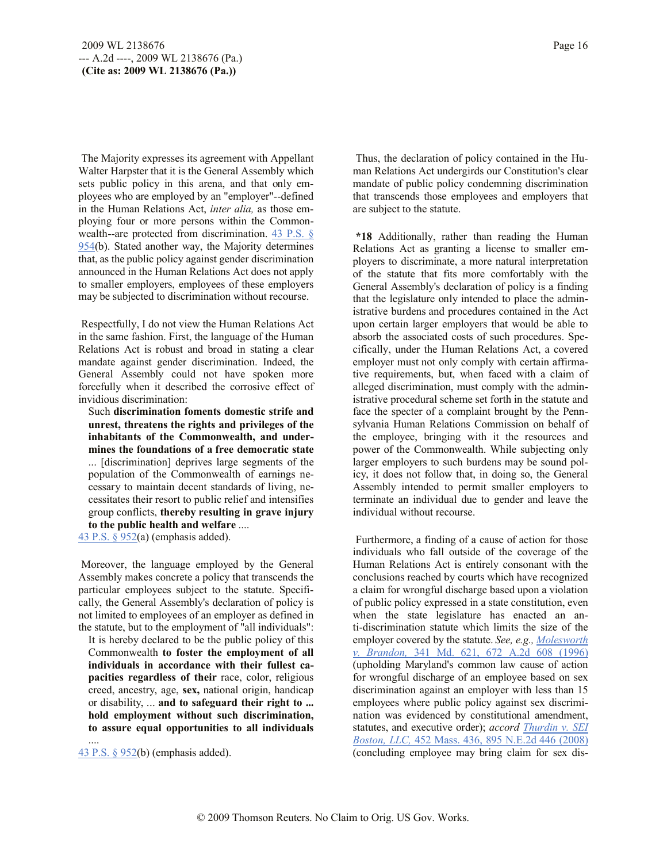The Majority expresses its agreement with Appellant Walter Harpster that it is the General Assembly which sets public policy in this arena, and that only employees who are employed by an "employer"--defined in the Human Relations Act, *inter alia,* as those employing four or more persons within the Commonwealth--are protected from discrimination. 43 P.S. § 954(b). Stated another way, the Majority determines that, as the public policy against gender discrimination announced in the Human Relations Act does not apply to smaller employers, employees of these employers may be subjected to discrimination without recourse.

Respectfully, I do not view the Human Relations Act in the same fashion. First, the language of the Human Relations Act is robust and broad in stating a clear mandate against gender discrimination. Indeed, the General Assembly could not have spoken more forcefully when it described the corrosive effect of invidious discrimination:

Such **discrimination foments domestic strife and unrest, threatens the rights and privileges of the inhabitants of the Commonwealth, and undermines the foundations of a free democratic state** ... [discrimination] deprives large segments of the population of the Commonwealth of earnings necessary to maintain decent standards of living, necessitates their resort to public relief and intensifies group conflicts, **thereby resulting in grave injury to the public health and welfare** ....

43 P.S. § 952(a) (emphasis added).

Moreover, the language employed by the General Assembly makes concrete a policy that transcends the particular employees subject to the statute. Specifically, the General Assembly's declaration of policy is not limited to employees of an employer as defined in the statute, but to the employment of "all individuals":

It is hereby declared to be the public policy of this Commonwealth **to foster the employment of all individuals in accordance with their fullest capacities regardless of their** race, color, religious creed, ancestry, age, **sex,** national origin, handicap or disability, ... **and to safeguard their right to ... hold employment without such discrimination, to assure equal opportunities to all individuals**

43 P.S. § 952(b) (emphasis added).

....

Thus, the declaration of policy contained in the Human Relations Act undergirds our Constitution's clear mandate of public policy condemning discrimination that transcends those employees and employers that are subject to the statute.

**\*18** Additionally, rather than reading the Human Relations Act as granting a license to smaller employers to discriminate, a more natural interpretation of the statute that fits more comfortably with the General Assembly's declaration of policy is a finding that the legislature only intended to place the administrative burdens and procedures contained in the Act upon certain larger employers that would be able to absorb the associated costs of such procedures. Specifically, under the Human Relations Act, a covered employer must not only comply with certain affirmative requirements, but, when faced with a claim of alleged discrimination, must comply with the administrative procedural scheme set forth in the statute and face the specter of a complaint brought by the Pennsylvania Human Relations Commission on behalf of the employee, bringing with it the resources and power of the Commonwealth. While subjecting only larger employers to such burdens may be sound policy, it does not follow that, in doing so, the General Assembly intended to permit smaller employers to terminate an individual due to gender and leave the individual without recourse.

Furthermore, a finding of a cause of action for those individuals who fall outside of the coverage of the Human Relations Act is entirely consonant with the conclusions reached by courts which have recognized a claim for wrongful discharge based upon a violation of public policy expressed in a state constitution, even when the state legislature has enacted an anti-discrimination statute which limits the size of the employer covered by the statute. *See, e.g., Molesworth v. Brandon,* 341 Md. 621, 672 A.2d 608 (1996) (upholding Maryland's common law cause of action for wrongful discharge of an employee based on sex discrimination against an employer with less than 15 employees where public policy against sex discrimination was evidenced by constitutional amendment, statutes, and executive order); *accord Thurdin v. SEI Boston, LLC,* 452 Mass. 436, 895 N.E.2d 446 (2008) (concluding employee may bring claim for sex dis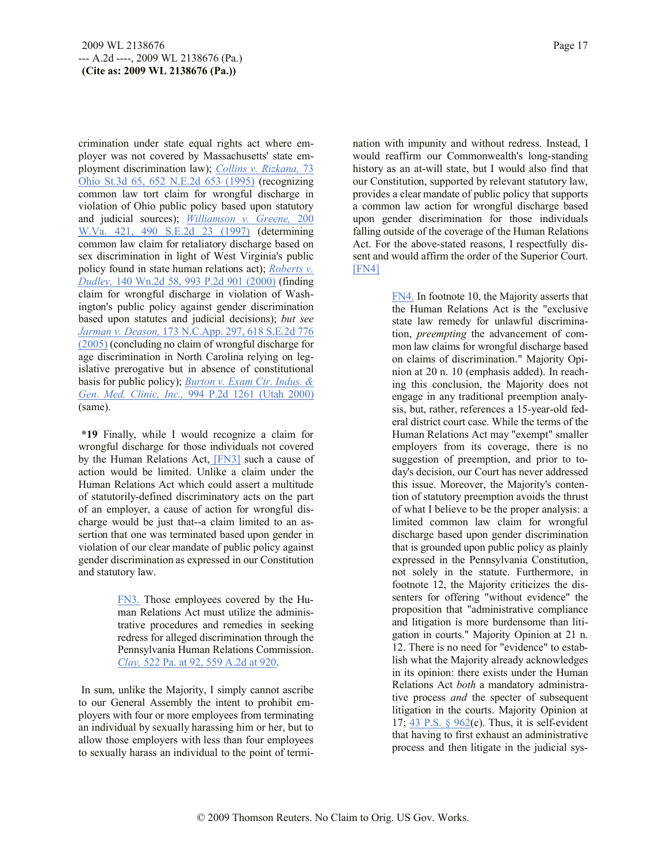crimination under state equal rights act where employer was not covered by Massachusetts' state employment discrimination law); *Collins v. Rizkana,* 73 Ohio St.3d 65, 652 N.E.2d 653 (1995) (recognizing common law tort claim for wrongful discharge in violation of Ohio public policy based upon statutory and judicial sources); *Williamson v. Greene,* 200 W.Va. 421, 490 S.E.2d 23 (1997) (determining common law claim for retaliatory discharge based on sex discrimination in light of West Virginia's public policy found in state human relations act); *Roberts v. Dudley,* 140 Wn.2d 58, 993 P.2d 901 (2000) (finding claim for wrongful discharge in violation of Washington's public policy against gender discrimination based upon statutes and judicial decisions); *but see Jarman v. Deason,* 173 N.C.App. 297, 618 S.E.2d 776 (2005) (concluding no claim of wrongful discharge for age discrimination in North Carolina relying on legislative prerogative but in absence of constitutional basis for public policy); *Burton v. Exam Ctr. Indus. & Gen. Med. Clinic, Inc.,* 994 P.2d 1261 (Utah 2000) (same).

**\*19** Finally, while I would recognize a claim for wrongful discharge for those individuals not covered by the Human Relations Act, [FN3] such a cause of action would be limited. Unlike a claim under the Human Relations Act which could assert a multitude of statutorily-defined discriminatory acts on the part of an employer, a cause of action for wrongful discharge would be just that--a claim limited to an assertion that one was terminated based upon gender in violation of our clear mandate of public policy against gender discrimination as expressed in our Constitution and statutory law.

> FN3. Those employees covered by the Human Relations Act must utilize the administrative procedures and remedies in seeking redress for alleged discrimination through the Pennsylvania Human Relations Commission. *Clay,* 522 Pa. at 92, 559 A.2d at 920.

In sum, unlike the Majority, I simply cannot ascribe to our General Assembly the intent to prohibit employers with four or more employees from terminating an individual by sexually harassing him or her, but to allow those employers with less than four employees to sexually harass an individual to the point of termi-

nation with impunity and without redress. Instead, I would reaffirm our Commonwealth's long-standing history as an at-will state, but I would also find that our Constitution, supported by relevant statutory law, provides a clear mandate of public policy that supports a common law action for wrongful discharge based upon gender discrimination for those individuals falling outside of the coverage of the Human Relations Act. For the above-stated reasons, I respectfully dissent and would affirm the order of the Superior Court. [FN4]

> FN4. In footnote 10, the Majority asserts that the Human Relations Act is the "exclusive state law remedy for unlawful discrimination, *preempting* the advancement of common law claims for wrongful discharge based on claims of discrimination." Majority Opinion at 20 n. 10 (emphasis added). In reaching this conclusion, the Majority does not engage in any traditional preemption analysis, but, rather, references a 15-year-old federal district court case. While the terms of the Human Relations Act may "exempt" smaller employers from its coverage, there is no suggestion of preemption, and prior to today's decision, our Court has never addressed this issue. Moreover, the Majority's contention of statutory preemption avoids the thrust of what I believe to be the proper analysis: a limited common law claim for wrongful discharge based upon gender discrimination that is grounded upon public policy as plainly expressed in the Pennsylvania Constitution, not solely in the statute. Furthermore, in footnote 12, the Majority criticizes the dissenters for offering "without evidence" the proposition that "administrative compliance and litigation is more burdensome than litigation in courts." Majority Opinion at 21 n. 12. There is no need for "evidence" to establish what the Majority already acknowledges in its opinion: there exists under the Human Relations Act *both* a mandatory administrative process *and* the specter of subsequent litigation in the courts. Majority Opinion at 17;  $\frac{43 \text{ P.S. } }{962}$ (c). Thus, it is self-evident that having to first exhaust an administrative process and then litigate in the judicial sys-